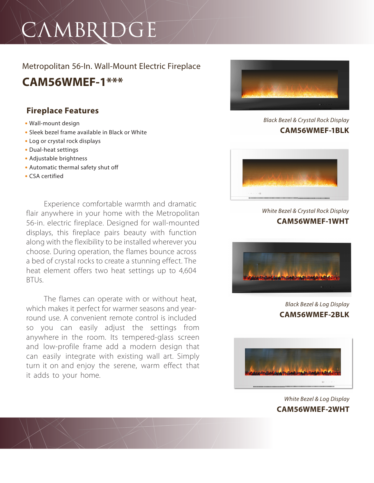# CAMBRIDGE

## Metropolitan 56-In. Wall-Mount Electric Fireplace

**CAM56WMEF-1\*\*\***

## **Fireplace Features**

- **•** Wall-mount design
- **•** Sleek bezel frame available in Black or White
- **•** Log or crystal rock displays
- **•** Dual-heat settings
- **•** Adjustable brightness
- **•** Automatic thermal safety shut off
- **•** CSA certified

Experience comfortable warmth and dramatic flair anywhere in your home with the Metropolitan 56-in. electric fireplace. Designed for wall-mounted displays, this fireplace pairs beauty with function along with the flexibility to be installed wherever you choose. During operation, the flames bounce across a bed of crystal rocks to create a stunning effect. The heat element offers two heat settings up to 4,604  $RTUs$ 

The flames can operate with or without heat, which makes it perfect for warmer seasons and yearround use. A convenient remote control is included so you can easily adjust the settings from anywhere in the room. Its tempered-glass screen and low-profile frame add a modern design that can easily integrate with existing wall art. Simply turn it on and enjoy the serene, warm effect that it adds to your home.



*Black Bezel & Crystal Rock Display* **CAM56WMEF-1BLK**



*White Bezel & Crystal Rock Display* **CAM56WMEF-1WHT**



*Black Bezel & Log Display* **CAM56WMEF-2BLK**



*White Bezel & Log Display* **CAM56WMEF-2WHT**